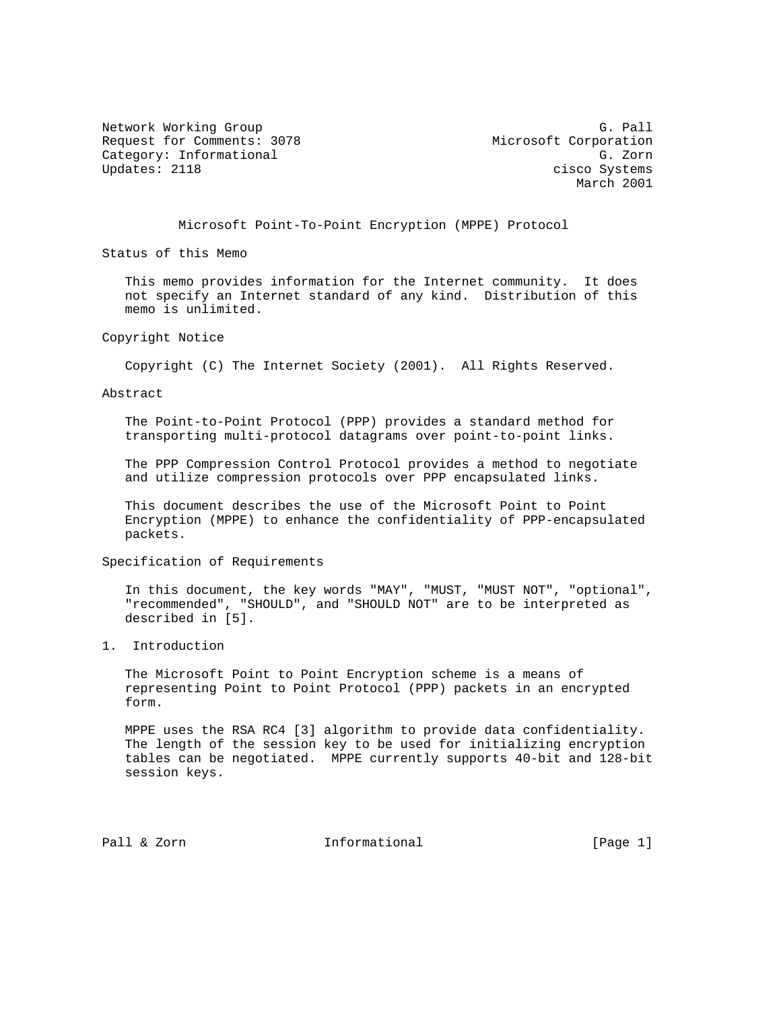Network Working Group G. Pall Communications and C. Pall Request for Comments: 3078 Microsoft Corporation Category: Informational Gategory: Category: Informational G. Zorn<br>Updates: 2118 cisco Systems

cisco Systems March 2001

Microsoft Point-To-Point Encryption (MPPE) Protocol

Status of this Memo

 This memo provides information for the Internet community. It does not specify an Internet standard of any kind. Distribution of this memo is unlimited.

Copyright Notice

Copyright (C) The Internet Society (2001). All Rights Reserved.

Abstract

 The Point-to-Point Protocol (PPP) provides a standard method for transporting multi-protocol datagrams over point-to-point links.

 The PPP Compression Control Protocol provides a method to negotiate and utilize compression protocols over PPP encapsulated links.

 This document describes the use of the Microsoft Point to Point Encryption (MPPE) to enhance the confidentiality of PPP-encapsulated packets.

Specification of Requirements

 In this document, the key words "MAY", "MUST, "MUST NOT", "optional", "recommended", "SHOULD", and "SHOULD NOT" are to be interpreted as described in [5].

1. Introduction

 The Microsoft Point to Point Encryption scheme is a means of representing Point to Point Protocol (PPP) packets in an encrypted form.

 MPPE uses the RSA RC4 [3] algorithm to provide data confidentiality. The length of the session key to be used for initializing encryption tables can be negotiated. MPPE currently supports 40-bit and 128-bit session keys.

Pall & Zorn **Informational** [Page 1]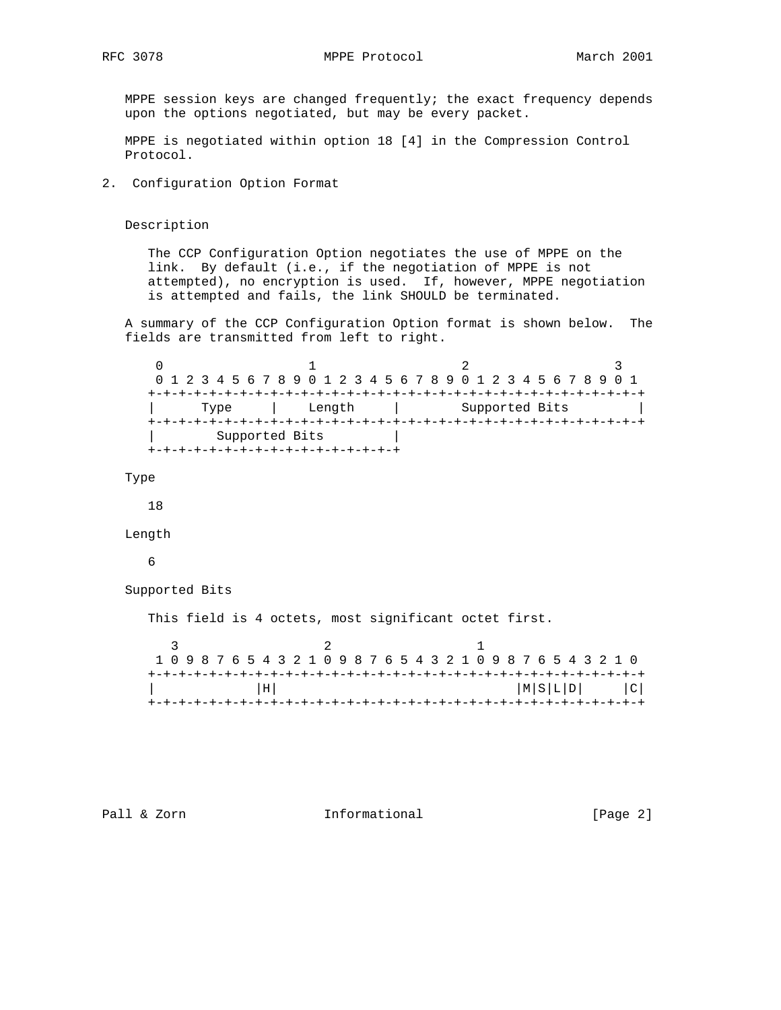MPPE session keys are changed frequently; the exact frequency depends upon the options negotiated, but may be every packet.

 MPPE is negotiated within option 18 [4] in the Compression Control Protocol.

2. Configuration Option Format

Description

 The CCP Configuration Option negotiates the use of MPPE on the link. By default (i.e., if the negotiation of MPPE is not attempted), no encryption is used. If, however, MPPE negotiation is attempted and fails, the link SHOULD be terminated.

 A summary of the CCP Configuration Option format is shown below. The fields are transmitted from left to right.

 $0$  1 2 3 0 1 2 3 4 5 6 7 8 9 0 1 2 3 4 5 6 7 8 9 0 1 2 3 4 5 6 7 8 9 0 1 +-+-+-+-+-+-+-+-+-+-+-+-+-+-+-+-+-+-+-+-+-+-+-+-+-+-+-+-+-+-+-+-+ | Type | Length | Supported Bits | +-+-+-+-+-+-+-+-+-+-+-+-+-+-+-+-+-+-+-+-+-+-+-+-+-+-+-+-+-+-+-+-+ Supported Bits +-+-+-+-+-+-+-+-+-+-+-+-+-+-+-+-+

Type

18

Length

6

Supported Bits

This field is 4 octets, most significant octet first.

| 1 0 9 8 7 6 5 4 3 2 1 0 9 8 7 6 5 4 3 2 1 0 9 8 7 6 5 4 3 2 1 0 |  |       |  |  |  |  |  |  |  |  |  |  |  |  |  |  |  |  |  |  |  |  |  |  |                   |  |
|-----------------------------------------------------------------|--|-------|--|--|--|--|--|--|--|--|--|--|--|--|--|--|--|--|--|--|--|--|--|--|-------------------|--|
|                                                                 |  |       |  |  |  |  |  |  |  |  |  |  |  |  |  |  |  |  |  |  |  |  |  |  |                   |  |
|                                                                 |  | l H I |  |  |  |  |  |  |  |  |  |  |  |  |  |  |  |  |  |  |  |  |  |  | $ M S L D $ $ C $ |  |
|                                                                 |  |       |  |  |  |  |  |  |  |  |  |  |  |  |  |  |  |  |  |  |  |  |  |  |                   |  |

Pall & Zorn **Informational Informational** [Page 2]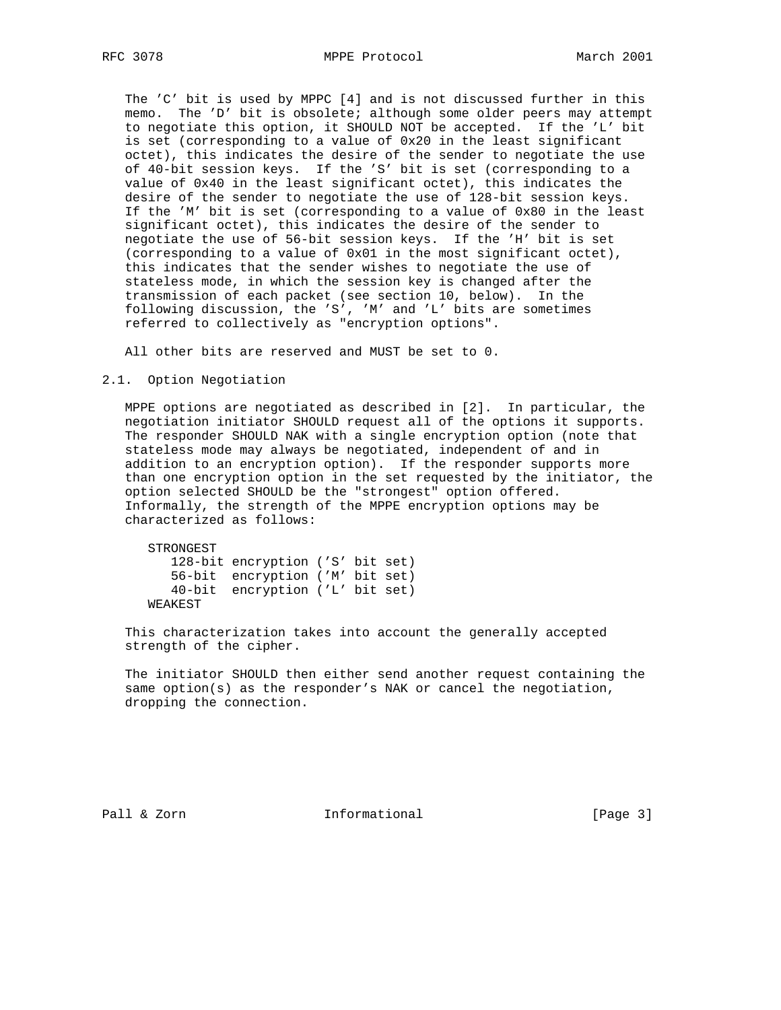The 'C' bit is used by MPPC [4] and is not discussed further in this memo. The 'D' bit is obsolete; although some older peers may attempt to negotiate this option, it SHOULD NOT be accepted. If the 'L' bit is set (corresponding to a value of 0x20 in the least significant octet), this indicates the desire of the sender to negotiate the use of 40-bit session keys. If the 'S' bit is set (corresponding to a value of 0x40 in the least significant octet), this indicates the desire of the sender to negotiate the use of 128-bit session keys. If the 'M' bit is set (corresponding to a value of 0x80 in the least significant octet), this indicates the desire of the sender to negotiate the use of 56-bit session keys. If the 'H' bit is set (corresponding to a value of 0x01 in the most significant octet), this indicates that the sender wishes to negotiate the use of stateless mode, in which the session key is changed after the transmission of each packet (see section 10, below). In the following discussion, the 'S', 'M' and 'L' bits are sometimes referred to collectively as "encryption options".

All other bits are reserved and MUST be set to 0.

#### 2.1. Option Negotiation

 MPPE options are negotiated as described in [2]. In particular, the negotiation initiator SHOULD request all of the options it supports. The responder SHOULD NAK with a single encryption option (note that stateless mode may always be negotiated, independent of and in addition to an encryption option). If the responder supports more than one encryption option in the set requested by the initiator, the option selected SHOULD be the "strongest" option offered. Informally, the strength of the MPPE encryption options may be characterized as follows:

 STRONGEST 128-bit encryption ('S' bit set) 56-bit encryption ('M' bit set) 40-bit encryption ('L' bit set) WEAKEST

 This characterization takes into account the generally accepted strength of the cipher.

 The initiator SHOULD then either send another request containing the same option(s) as the responder's NAK or cancel the negotiation, dropping the connection.

Pall & Zorn **Informational** [Page 3]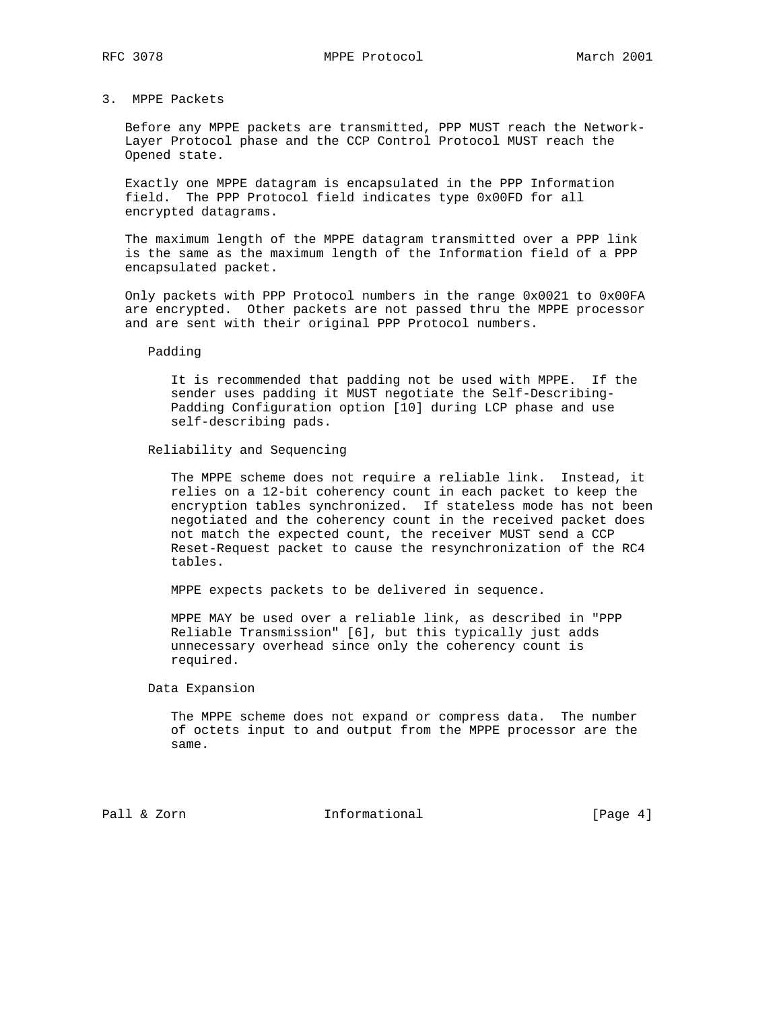## 3. MPPE Packets

 Before any MPPE packets are transmitted, PPP MUST reach the Network- Layer Protocol phase and the CCP Control Protocol MUST reach the Opened state.

 Exactly one MPPE datagram is encapsulated in the PPP Information field. The PPP Protocol field indicates type 0x00FD for all encrypted datagrams.

 The maximum length of the MPPE datagram transmitted over a PPP link is the same as the maximum length of the Information field of a PPP encapsulated packet.

 Only packets with PPP Protocol numbers in the range 0x0021 to 0x00FA are encrypted. Other packets are not passed thru the MPPE processor and are sent with their original PPP Protocol numbers.

Padding

 It is recommended that padding not be used with MPPE. If the sender uses padding it MUST negotiate the Self-Describing- Padding Configuration option [10] during LCP phase and use self-describing pads.

Reliability and Sequencing

 The MPPE scheme does not require a reliable link. Instead, it relies on a 12-bit coherency count in each packet to keep the encryption tables synchronized. If stateless mode has not been negotiated and the coherency count in the received packet does not match the expected count, the receiver MUST send a CCP Reset-Request packet to cause the resynchronization of the RC4 tables.

MPPE expects packets to be delivered in sequence.

 MPPE MAY be used over a reliable link, as described in "PPP Reliable Transmission" [6], but this typically just adds unnecessary overhead since only the coherency count is required.

Data Expansion

 The MPPE scheme does not expand or compress data. The number of octets input to and output from the MPPE processor are the same.

Pall & Zorn **Informational** [Page 4]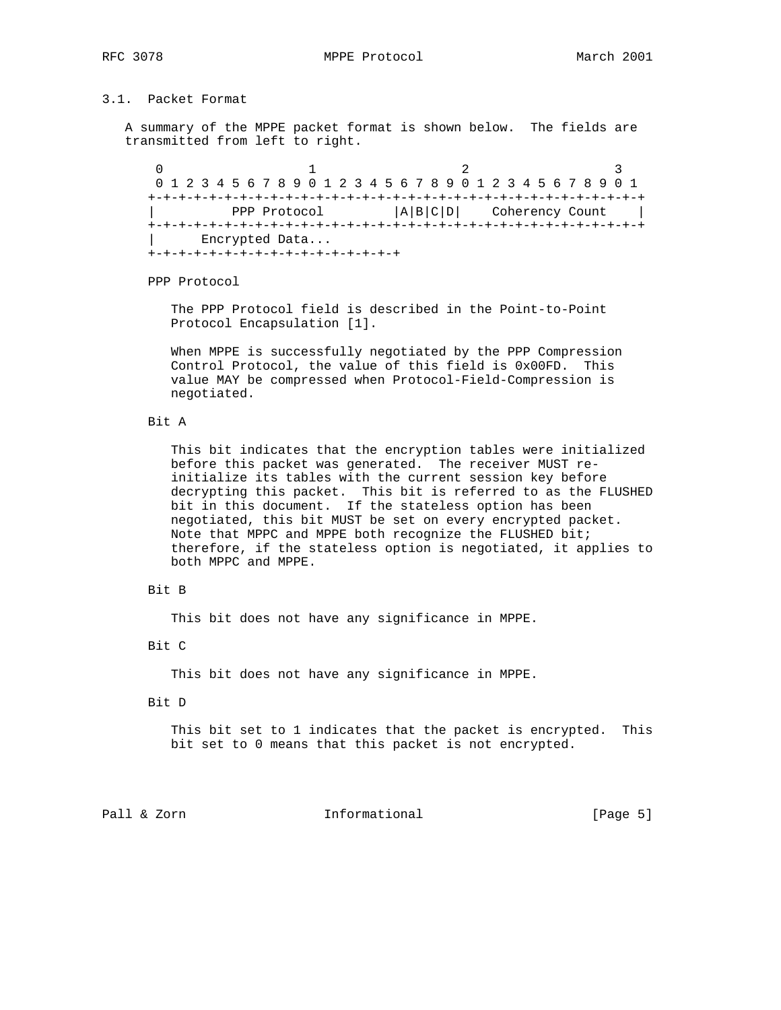RFC 3078 MPPE Protocol March 2001

## 3.1. Packet Format

 A summary of the MPPE packet format is shown below. The fields are transmitted from left to right.

0  $1$  2 3 0 1 2 3 4 5 6 7 8 9 0 1 2 3 4 5 6 7 8 9 0 1 2 3 4 5 6 7 8 9 0 1 +-+-+-+-+-+-+-+-+-+-+-+-+-+-+-+-+-+-+-+-+-+-+-+-+-+-+-+-+-+-+-+-+ PPP Protocol  $|A|B|C|D|$  Coherency Count | +-+-+-+-+-+-+-+-+-+-+-+-+-+-+-+-+-+-+-+-+-+-+-+-+-+-+-+-+-+-+-+-+ | Encrypted Data... +-+-+-+-+-+-+-+-+-+-+-+-+-+-+-+-+

PPP Protocol

 The PPP Protocol field is described in the Point-to-Point Protocol Encapsulation [1].

 When MPPE is successfully negotiated by the PPP Compression Control Protocol, the value of this field is 0x00FD. This value MAY be compressed when Protocol-Field-Compression is negotiated.

Bit A

 This bit indicates that the encryption tables were initialized before this packet was generated. The receiver MUST re initialize its tables with the current session key before decrypting this packet. This bit is referred to as the FLUSHED bit in this document. If the stateless option has been negotiated, this bit MUST be set on every encrypted packet. Note that MPPC and MPPE both recognize the FLUSHED bit; therefore, if the stateless option is negotiated, it applies to both MPPC and MPPE.

### Bit B

This bit does not have any significance in MPPE.

Bit C

This bit does not have any significance in MPPE.

#### Bit D

 This bit set to 1 indicates that the packet is encrypted. This bit set to 0 means that this packet is not encrypted.

# Pall & Zorn **Informational Informational** [Page 5]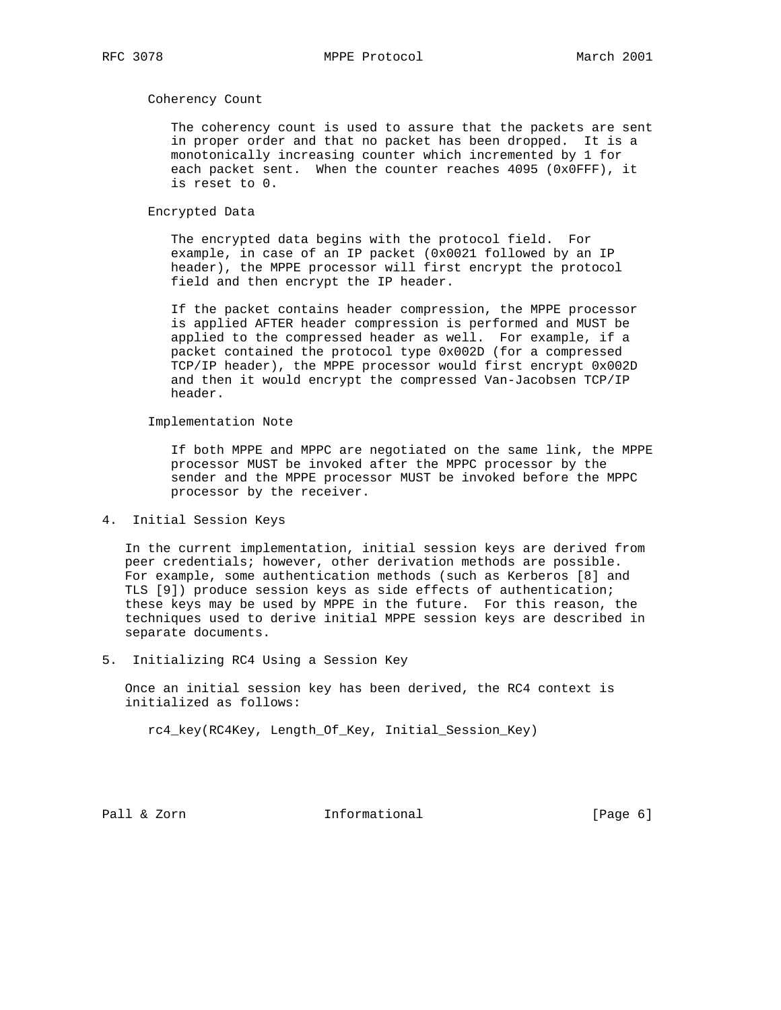Coherency Count

 The coherency count is used to assure that the packets are sent in proper order and that no packet has been dropped. It is a monotonically increasing counter which incremented by 1 for each packet sent. When the counter reaches 4095 (0x0FFF), it is reset to 0.

Encrypted Data

 The encrypted data begins with the protocol field. For example, in case of an IP packet (0x0021 followed by an IP header), the MPPE processor will first encrypt the protocol field and then encrypt the IP header.

 If the packet contains header compression, the MPPE processor is applied AFTER header compression is performed and MUST be applied to the compressed header as well. For example, if a packet contained the protocol type 0x002D (for a compressed TCP/IP header), the MPPE processor would first encrypt 0x002D and then it would encrypt the compressed Van-Jacobsen TCP/IP header.

Implementation Note

 If both MPPE and MPPC are negotiated on the same link, the MPPE processor MUST be invoked after the MPPC processor by the sender and the MPPE processor MUST be invoked before the MPPC processor by the receiver.

4. Initial Session Keys

 In the current implementation, initial session keys are derived from peer credentials; however, other derivation methods are possible. For example, some authentication methods (such as Kerberos [8] and TLS [9]) produce session keys as side effects of authentication; these keys may be used by MPPE in the future. For this reason, the techniques used to derive initial MPPE session keys are described in separate documents.

5. Initializing RC4 Using a Session Key

 Once an initial session key has been derived, the RC4 context is initialized as follows:

rc4\_key(RC4Key, Length\_Of\_Key, Initial\_Session\_Key)

Pall & Zorn **Informational** [Page 6]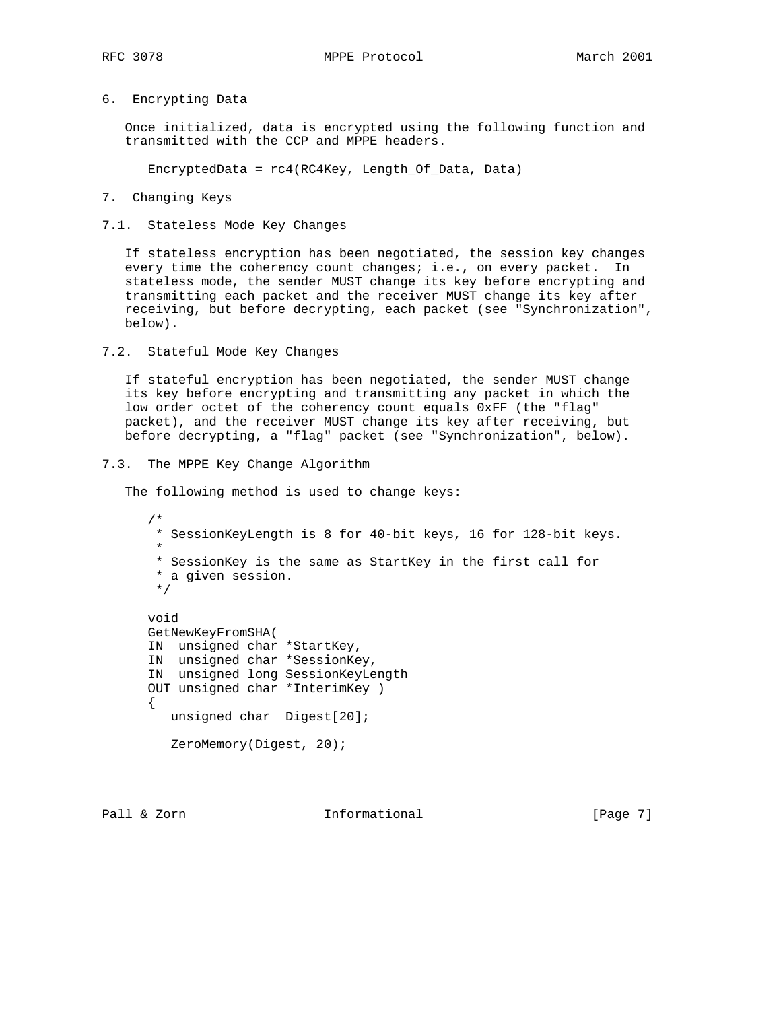## 6. Encrypting Data

 Once initialized, data is encrypted using the following function and transmitted with the CCP and MPPE headers.

EncryptedData = rc4(RC4Key, Length\_Of\_Data, Data)

7. Changing Keys

7.1. Stateless Mode Key Changes

 If stateless encryption has been negotiated, the session key changes every time the coherency count changes; i.e., on every packet. In stateless mode, the sender MUST change its key before encrypting and transmitting each packet and the receiver MUST change its key after receiving, but before decrypting, each packet (see "Synchronization", below).

7.2. Stateful Mode Key Changes

 If stateful encryption has been negotiated, the sender MUST change its key before encrypting and transmitting any packet in which the low order octet of the coherency count equals 0xFF (the "flag" packet), and the receiver MUST change its key after receiving, but before decrypting, a "flag" packet (see "Synchronization", below).

7.3. The MPPE Key Change Algorithm

The following method is used to change keys:

```
 /*
      * SessionKeyLength is 8 for 40-bit keys, 16 for 128-bit keys.
*
      * SessionKey is the same as StartKey in the first call for
       * a given session.
       */
     void
     GetNewKeyFromSHA(
     IN unsigned char *StartKey,
     IN unsigned char *SessionKey,
     IN unsigned long SessionKeyLength
     OUT unsigned char *InterimKey )
    \{ unsigned char Digest[20];
        ZeroMemory(Digest, 20);
```
Pall & Zorn **Informational Informational** [Page 7]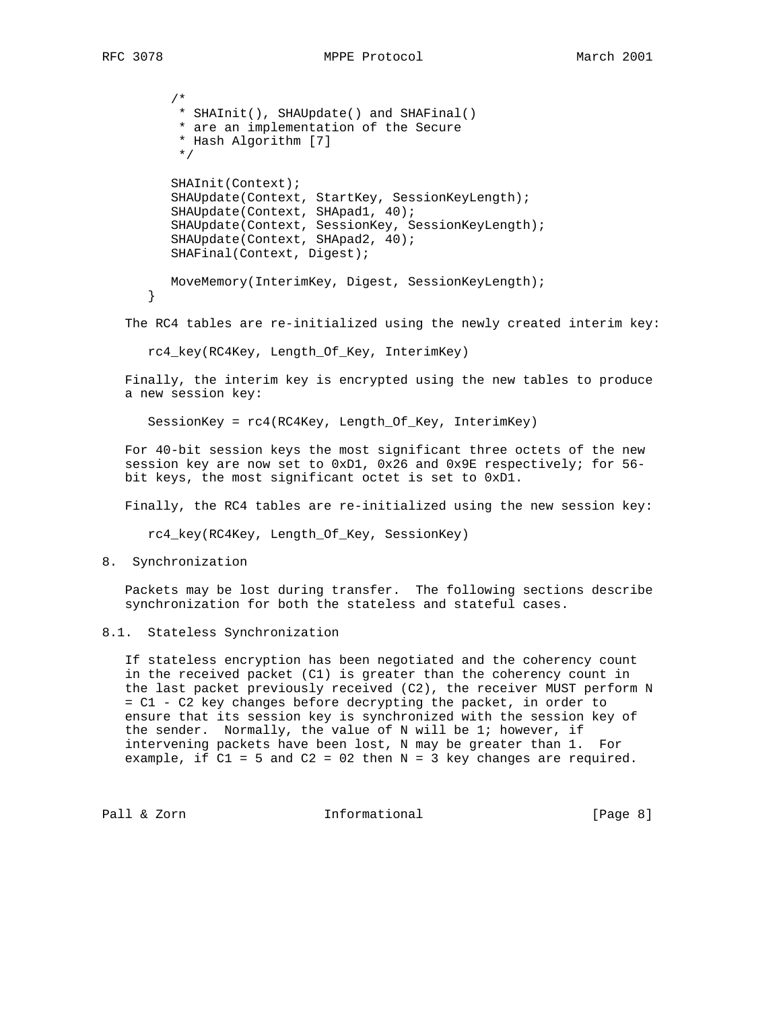```
 /*
    * SHAInit(), SHAUpdate() and SHAFinal()
    * are an implementation of the Secure
    * Hash Algorithm [7]
    */
   SHAInit(Context);
   SHAUpdate(Context, StartKey, SessionKeyLength);
   SHAUpdate(Context, SHApad1, 40);
   SHAUpdate(Context, SessionKey, SessionKeyLength);
   SHAUpdate(Context, SHApad2, 40);
   SHAFinal(Context, Digest);
   MoveMemory(InterimKey, Digest, SessionKeyLength);
}
```
The RC4 tables are re-initialized using the newly created interim key:

rc4\_key(RC4Key, Length\_Of\_Key, InterimKey)

 Finally, the interim key is encrypted using the new tables to produce a new session key:

SessionKey = rc4(RC4Key, Length\_Of\_Key, InterimKey)

 For 40-bit session keys the most significant three octets of the new session key are now set to 0xD1, 0x26 and 0x9E respectively; for 56 bit keys, the most significant octet is set to 0xD1.

Finally, the RC4 tables are re-initialized using the new session key:

rc4\_key(RC4Key, Length\_Of\_Key, SessionKey)

8. Synchronization

 Packets may be lost during transfer. The following sections describe synchronization for both the stateless and stateful cases.

8.1. Stateless Synchronization

 If stateless encryption has been negotiated and the coherency count in the received packet (C1) is greater than the coherency count in the last packet previously received (C2), the receiver MUST perform N = C1 - C2 key changes before decrypting the packet, in order to ensure that its session key is synchronized with the session key of the sender. Normally, the value of N will be 1; however, if intervening packets have been lost, N may be greater than 1. For example, if  $C1 = 5$  and  $C2 = 02$  then  $N = 3$  key changes are required.

Pall & Zorn **Informational Informational** [Page 8]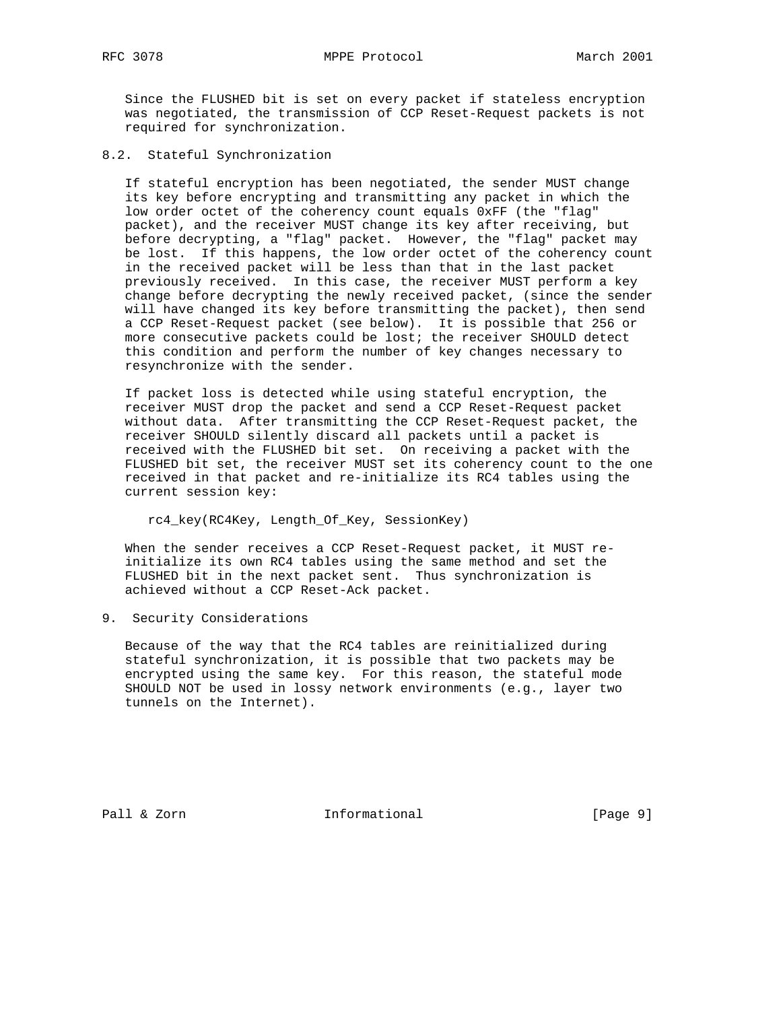Since the FLUSHED bit is set on every packet if stateless encryption was negotiated, the transmission of CCP Reset-Request packets is not required for synchronization.

8.2. Stateful Synchronization

 If stateful encryption has been negotiated, the sender MUST change its key before encrypting and transmitting any packet in which the low order octet of the coherency count equals 0xFF (the "flag" packet), and the receiver MUST change its key after receiving, but before decrypting, a "flag" packet. However, the "flag" packet may be lost. If this happens, the low order octet of the coherency count in the received packet will be less than that in the last packet previously received. In this case, the receiver MUST perform a key change before decrypting the newly received packet, (since the sender will have changed its key before transmitting the packet), then send a CCP Reset-Request packet (see below). It is possible that 256 or more consecutive packets could be lost; the receiver SHOULD detect this condition and perform the number of key changes necessary to resynchronize with the sender.

 If packet loss is detected while using stateful encryption, the receiver MUST drop the packet and send a CCP Reset-Request packet without data. After transmitting the CCP Reset-Request packet, the receiver SHOULD silently discard all packets until a packet is received with the FLUSHED bit set. On receiving a packet with the FLUSHED bit set, the receiver MUST set its coherency count to the one received in that packet and re-initialize its RC4 tables using the current session key:

rc4\_key(RC4Key, Length\_Of\_Key, SessionKey)

 When the sender receives a CCP Reset-Request packet, it MUST re initialize its own RC4 tables using the same method and set the FLUSHED bit in the next packet sent. Thus synchronization is achieved without a CCP Reset-Ack packet.

9. Security Considerations

 Because of the way that the RC4 tables are reinitialized during stateful synchronization, it is possible that two packets may be encrypted using the same key. For this reason, the stateful mode SHOULD NOT be used in lossy network environments (e.g., layer two tunnels on the Internet).

Pall & Zorn **Informational** [Page 9]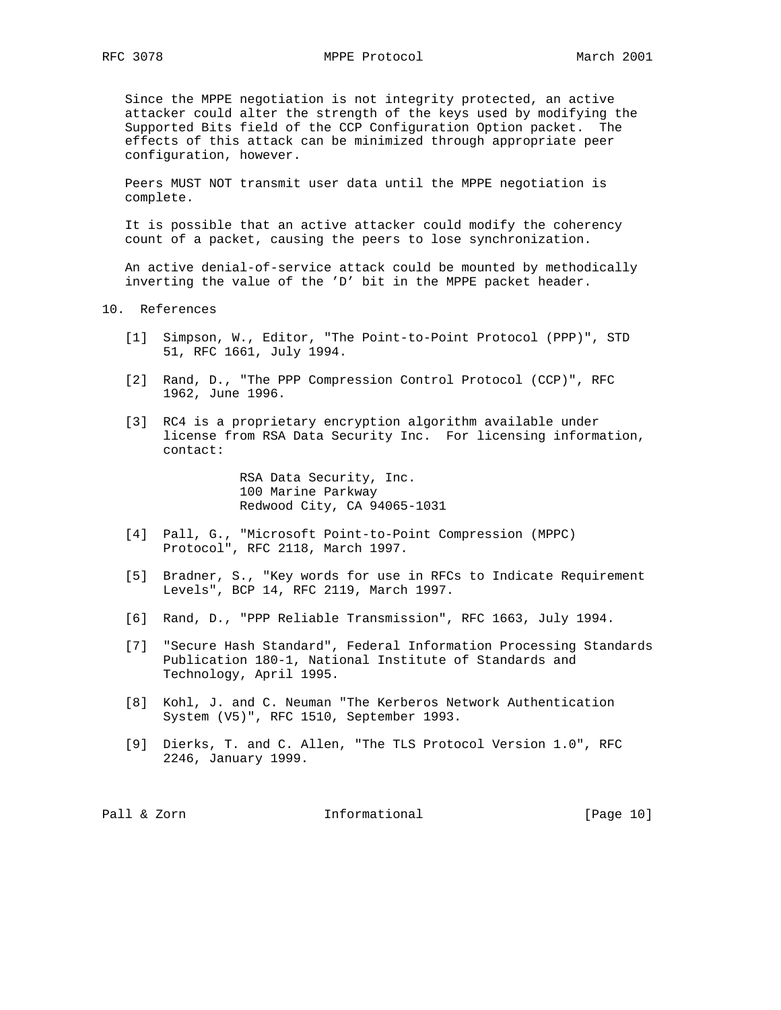Since the MPPE negotiation is not integrity protected, an active attacker could alter the strength of the keys used by modifying the Supported Bits field of the CCP Configuration Option packet. The effects of this attack can be minimized through appropriate peer configuration, however.

 Peers MUST NOT transmit user data until the MPPE negotiation is complete.

 It is possible that an active attacker could modify the coherency count of a packet, causing the peers to lose synchronization.

 An active denial-of-service attack could be mounted by methodically inverting the value of the 'D' bit in the MPPE packet header.

10. References

- [1] Simpson, W., Editor, "The Point-to-Point Protocol (PPP)", STD 51, RFC 1661, July 1994.
- [2] Rand, D., "The PPP Compression Control Protocol (CCP)", RFC 1962, June 1996.
- [3] RC4 is a proprietary encryption algorithm available under license from RSA Data Security Inc. For licensing information, contact:

 RSA Data Security, Inc. 100 Marine Parkway Redwood City, CA 94065-1031

- [4] Pall, G., "Microsoft Point-to-Point Compression (MPPC) Protocol", RFC 2118, March 1997.
- [5] Bradner, S., "Key words for use in RFCs to Indicate Requirement Levels", BCP 14, RFC 2119, March 1997.
- [6] Rand, D., "PPP Reliable Transmission", RFC 1663, July 1994.
- [7] "Secure Hash Standard", Federal Information Processing Standards Publication 180-1, National Institute of Standards and Technology, April 1995.
- [8] Kohl, J. and C. Neuman "The Kerberos Network Authentication System (V5)", RFC 1510, September 1993.
- [9] Dierks, T. and C. Allen, "The TLS Protocol Version 1.0", RFC 2246, January 1999.

Pall & Zorn **Informational** [Page 10]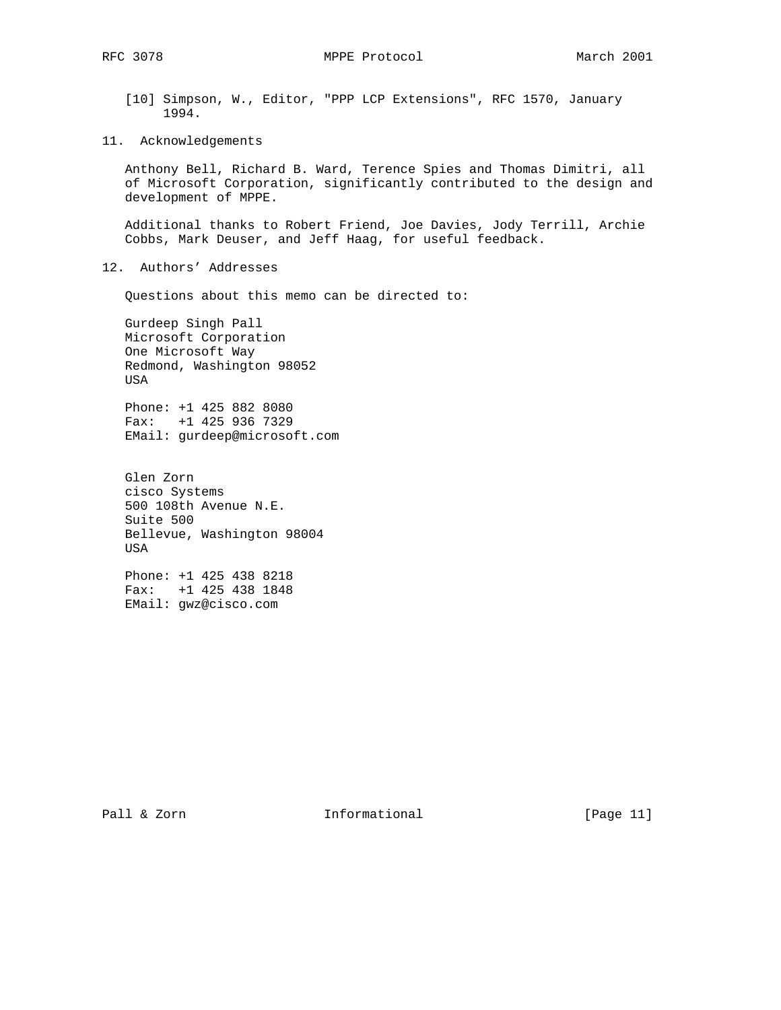RFC 3078 MPPE Protocol March 2001

- [10] Simpson, W., Editor, "PPP LCP Extensions", RFC 1570, January 1994.
- 11. Acknowledgements

 Anthony Bell, Richard B. Ward, Terence Spies and Thomas Dimitri, all of Microsoft Corporation, significantly contributed to the design and development of MPPE.

 Additional thanks to Robert Friend, Joe Davies, Jody Terrill, Archie Cobbs, Mark Deuser, and Jeff Haag, for useful feedback.

12. Authors' Addresses

Questions about this memo can be directed to:

 Gurdeep Singh Pall Microsoft Corporation One Microsoft Way Redmond, Washington 98052 USA

 Phone: +1 425 882 8080 Fax: +1 425 936 7329 EMail: gurdeep@microsoft.com

 Glen Zorn cisco Systems 500 108th Avenue N.E. Suite 500 Bellevue, Washington 98004 USA

 Phone: +1 425 438 8218 Fax: +1 425 438 1848 EMail: gwz@cisco.com

Pall & Zorn **Informational** [Page 11]